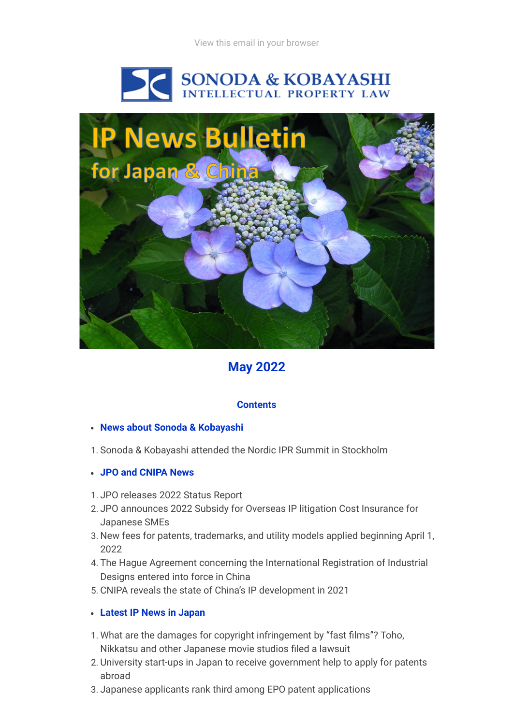



# **May 2022**

## **Contents**

### **News about Sonoda & Kobayashi**

- 1. Sonoda & Kobayashi attended the Nordic IPR Summit in Stockholm
- **JPO and CNIPA News**
- 1. JPO releases 2022 Status Report
- 2. JPO announces 2022 Subsidy for Overseas IP litigation Cost Insurance for Japanese SMEs
- 3. New fees for patents, trademarks, and utility models applied beginning April 1, 2022
- 4. The Hague Agreement concerning the International Registration of Industrial Designs entered into force in China
- 5. CNIPA reveals the state of China's IP development in 2021

### **Latest IP News in Japan**

- 1. What are the damages for copyright infringement by "fast films"? Toho, Nikkatsu and other Japanese movie studios filed a lawsuit
- 2. University start-ups in Japan to receive government help to apply for patents abroad
- 3. Japanese applicants rank third among EPO patent applications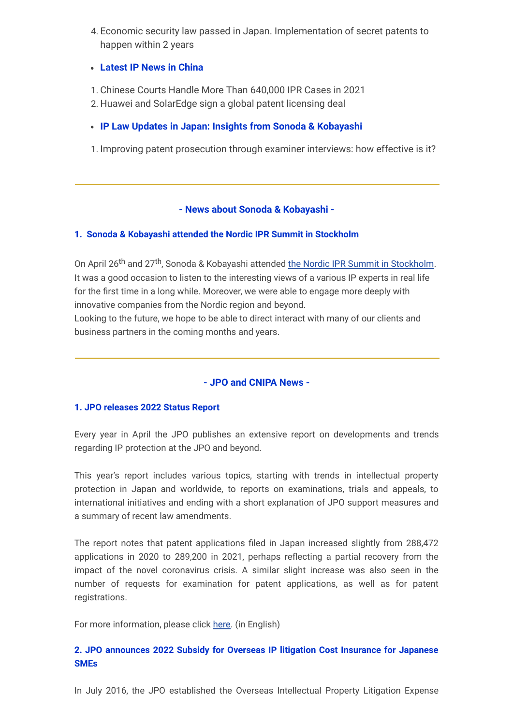4. Economic security law passed in Japan. Implementation of secret patents to happen within 2 years

### **Latest IP News in China**

- 1. Chinese Courts Handle More Than 640,000 IPR Cases in 2021
- 2. Huawei and SolarEdge sign a global patent licensing deal
- **IP Law Updates in Japan: Insights from Sonoda & Kobayashi**
- 1. Improving patent prosecution through examiner interviews: how effective is it?

## **- News about Sonoda & Kobayashi -**

### **1. Sonoda & Kobayashi attended the Nordic IPR Summit in Stockholm**

On April 26<sup>th</sup> and 27<sup>th</sup>, Sonoda & Kobayashi attended [the Nordic IPR Summit in Stockholm.](https://www.iqpc.com/events-nordicipr/sponsors/sonoda-kobayashi-ip-law) It was a good occasion to listen to the interesting views of a various IP experts in real life for the first time in a long while. Moreover, we were able to engage more deeply with innovative companies from the Nordic region and beyond.

Looking to the future, we hope to be able to direct interact with many of our clients and business partners in the coming months and years.

## **- JPO and CNIPA News -**

### **1. JPO releases 2022 Status Report**

Every year in April the JPO publishes an extensive report on developments and trends regarding IP protection at the JPO and beyond.

This year's report includes various topics, starting with trends in intellectual property protection in Japan and worldwide, to reports on examinations, trials and appeals, to international initiatives and ending with a short explanation of JPO support measures and a summary of recent law amendments.

The report notes that patent applications filed in Japan increased slightly from 288,472 applications in 2020 to 289,200 in 2021, perhaps reflecting a partial recovery from the impact of the novel coronavirus crisis. A similar slight increase was also seen in the number of requests for examination for patent applications, as well as for patent registrations.

For more information, please click [here.](https://www.jpo.go.jp/e/resources/report/statusreport/2022/index.html) (in English)

## **2. JPO announces 2022 Subsidy for Overseas IP litigation Cost Insurance for Japanese SMEs**

In July 2016, the JPO established the Overseas Intellectual Property Litigation Expense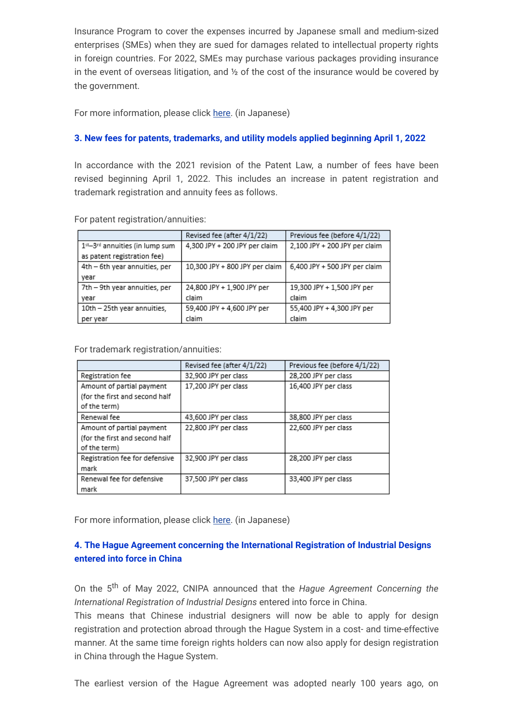Insurance Program to cover the expenses incurred by Japanese small and medium-sized enterprises (SMEs) when they are sued for damages related to intellectual property rights in foreign countries. For 2022, SMEs may purchase various packages providing insurance in the event of overseas litigation, and  $\frac{1}{2}$  of the cost of the insurance would be covered by the government.

For more information, please click [here.](https://www.jpo.go.jp/support/chusho/shien_sosyou_hoken.html) (in Japanese)

### **3. New fees for patents, trademarks, and utility models applied beginning April 1, 2022**

In accordance with the 2021 revision of the Patent Law, a number of fees have been revised beginning April 1, 2022. This includes an increase in patent registration and trademark registration and annuity fees as follows.

|                                | Revised fee (after 4/1/22)     | Previous fee (before 4/1/22)  |  |  |
|--------------------------------|--------------------------------|-------------------------------|--|--|
| 1st-3rd annuities (in lump sum | 4,300 JPY + 200 JPY per claim  | 2,100 JPY + 200 JPY per claim |  |  |
| as patent registration fee)    |                                |                               |  |  |
| 4th - 6th year annuities, per  | 10,300 JPY + 800 JPY per claim | 6,400 JPY + 500 JPY per claim |  |  |
| year                           |                                |                               |  |  |
| 7th - 9th year annuities, per  | 24,800 JPY + 1,900 JPY per     | 19,300 JPY + 1,500 JPY per    |  |  |
| vear                           | claim                          | claim                         |  |  |
| 10th - 25th year annuities,    | 59,400 JPY + 4,600 JPY per     | 55,400 JPY + 4,300 JPY per    |  |  |
| per year                       | claim                          | claim                         |  |  |

For patent registration/annuities:

For trademark registration/annuities:

|                                | Revised fee (after 4/1/22) | Previous fee (before 4/1/22) |  |
|--------------------------------|----------------------------|------------------------------|--|
| Registration fee               | 32,900 JPY per class       | 28,200 JPY per class         |  |
| Amount of partial payment      | 17,200 JPY per class       | 16,400 JPY per class         |  |
| (for the first and second half |                            |                              |  |
| of the term)                   |                            |                              |  |
| Renewal fee                    | 43,600 JPY per class       | 38,800 JPY per class         |  |
| Amount of partial payment      | 22,800 JPY per class       | 22,600 JPY per class         |  |
| (for the first and second half |                            |                              |  |
| of the term)                   |                            |                              |  |
| Registration fee for defensive | 32,900 JPY per class       | 28,200 JPY per class         |  |
| mark                           |                            |                              |  |
| Renewal fee for defensive      | 37,500 JPY per class       | 33,400 JPY per class         |  |
| mark                           |                            |                              |  |

For more information, please click [here.](https://www.jpo.go.jp/system/process/tesuryo/kaisei/2022_ryokinkaitei.html) (in Japanese)

## **4. The Hague Agreement concerning the International Registration of Industrial Designs entered into force in China**

On the 5 th of May 2022, CNIPA announced that the *Hague Agreement Concerning the International Registration of Industrial Designs* entered into force in China.

This means that Chinese industrial designers will now be able to apply for design registration and protection abroad through the Hague System in a cost- and time-effective manner. At the same time foreign rights holders can now also apply for design registration in China through the Hague System.

The earliest version of the Hague Agreement was adopted nearly 100 years ago, on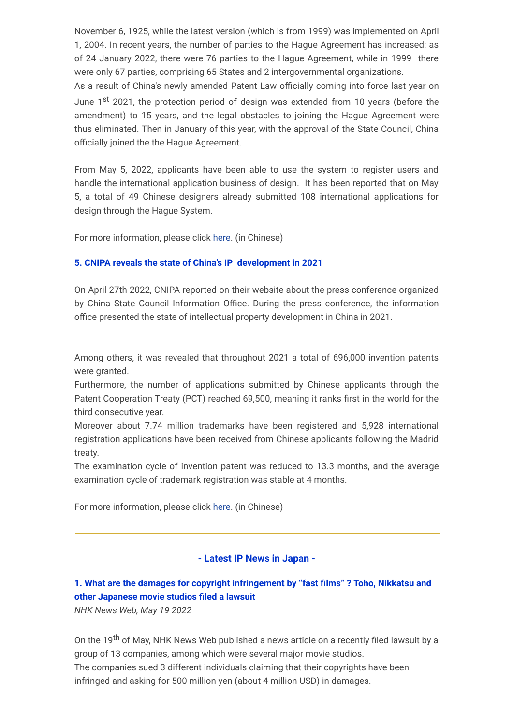November 6, 1925, while the latest version (which is from 1999) was implemented on April 1, 2004. In recent years, the number of parties to the Hague Agreement has increased: as of 24 January 2022, there were 76 parties to the Hague Agreement, while in 1999 there were only 67 parties, comprising 65 States and 2 intergovernmental organizations.

As a result of China's newly amended Patent Law officially coming into force last year on June 1<sup>st</sup> 2021, the protection period of design was extended from 10 years (before the amendment) to 15 years, and the legal obstacles to joining the Hague Agreement were thus eliminated. Then in January of this year, with the approval of the State Council, China officially joined the the Hague Agreement.

From May 5, 2022, applicants have been able to use the system to register users and handle the international application business of design. It has been reported that on May 5, a total of 49 Chinese designers already submitted 108 international applications for design through the Hague System.

For more information, please click [here.](https://www.cnipa.gov.cn/art/2022/2/9/art_53_173132.html) (in Chinese)

## **5. CNIPA reveals the state of China's IP development in 2021**

On April 27th 2022, CNIPA reported on their website about the press conference organized by China State Council Information Office. During the press conference, the information office presented the state of intellectual property development in China in 2021.

Among others, it was revealed that throughout 2021 a total of 696,000 invention patents were granted.

Furthermore, the number of applications submitted by Chinese applicants through the Patent Cooperation Treaty (PCT) reached 69,500, meaning it ranks first in the world for the third consecutive year.

Moreover about 7.74 million trademarks have been registered and 5,928 international registration applications have been received from Chinese applicants following the Madrid treaty.

The examination cycle of invention patent was reduced to 13.3 months, and the average examination cycle of trademark registration was stable at 4 months.

For more information, please click [here.](https://www.cnipa.gov.cn/art/2022/4/27/art_51_175259.html) (in Chinese)

## **- Latest IP News in Japan -**

## **1. What are the damages for copyright infringement by "fast films" ? Toho, Nikkatsu and other Japanese movie studios filed a lawsuit**

*NHK News Web, May 19 2022*

On the 19<sup>th</sup> of May, NHK News Web published a news article on a recently filed lawsuit by a group of 13 companies, among which were several major movie studios. The companies sued 3 different individuals claiming that their copyrights have been infringed and asking for 500 million yen (about 4 million USD) in damages.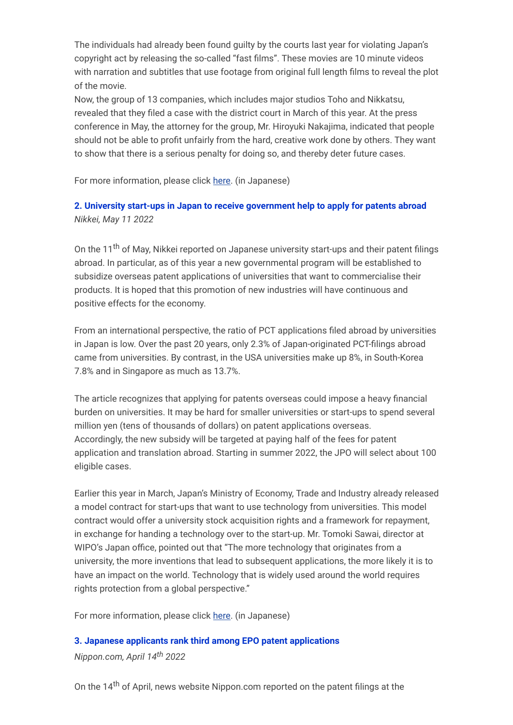The individuals had already been found guilty by the courts last year for violating Japan's copyright act by releasing the so-called "fast films". These movies are 10 minute videos with narration and subtitles that use footage from original full length films to reveal the plot of the movie.

Now, the group of 13 companies, which includes major studios Toho and Nikkatsu, revealed that they filed a case with the district court in March of this year. At the press conference in May, the attorney for the group, Mr. Hiroyuki Nakajima, indicated that people should not be able to profit unfairly from the hard, creative work done by others. They want to show that there is a serious penalty for doing so, and thereby deter future cases.

For more information, please click [here.](https://www3.nhk.or.jp/shutoken-news/20220519/1000080051.html) (in Japanese)

## **2. University start-ups in Japan to receive government help to apply for patents abroad** *Nikkei, May 11 2022*

On the 11<sup>th</sup> of May, Nikkei reported on Japanese university start-ups and their patent filings abroad. In particular, as of this year a new governmental program will be established to subsidize overseas patent applications of universities that want to commercialise their products. It is hoped that this promotion of new industries will have continuous and positive effects for the economy.

From an international perspective, the ratio of PCT applications filed abroad by universities in Japan is low. Over the past 20 years, only 2.3% of Japan-originated PCT-filings abroad came from universities. By contrast, in the USA universities make up 8%, in South-Korea 7.8% and in Singapore as much as 13.7%.

The article recognizes that applying for patents overseas could impose a heavy financial burden on universities. It may be hard for smaller universities or start-ups to spend several million yen (tens of thousands of dollars) on patent applications overseas. Accordingly, the new subsidy will be targeted at paying half of the fees for patent application and translation abroad. Starting in summer 2022, the JPO will select about 100 eligible cases.

Earlier this year in March, Japan's Ministry of Economy, Trade and Industry already released a model contract for start-ups that want to use technology from universities. This model contract would offer a university stock acquisition rights and a framework for repayment, in exchange for handing a technology over to the start-up. Mr. Tomoki Sawai, director at WIPO's Japan office, pointed out that "The more technology that originates from a university, the more inventions that lead to subsequent applications, the more likely it is to have an impact on the world. Technology that is widely used around the world requires rights protection from a global perspective."

For more information, please click [here.](https://www.nikkei.com/article/DGXZQOUA268ES0W2A420C2000000/?unlock=1) (in Japanese)

## **3. Japanese applicants rank third among EPO patent applications**

*Nippon.com, April 14th 2022*

On the 14<sup>th</sup> of April, news website Nippon.com reported on the patent filings at the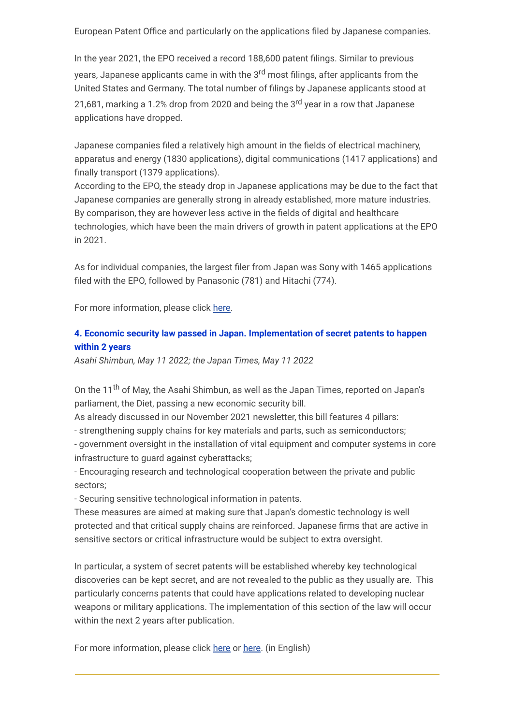European Patent Office and particularly on the applications filed by Japanese companies.

In the year 2021, the EPO received a record 188,600 patent filings. Similar to previous years, Japanese applicants came in with the 3<sup>rd</sup> most filings, after applicants from the United States and Germany. The total number of filings by Japanese applicants stood at 21,681, marking a 1.2% drop from 2020 and being the 3<sup>rd</sup> year in a row that Japanese applications have dropped.

Japanese companies filed a relatively high amount in the fields of electrical machinery, apparatus and energy (1830 applications), digital communications (1417 applications) and finally transport (1379 applications).

According to the EPO, the steady drop in Japanese applications may be due to the fact that Japanese companies are generally strong in already established, more mature industries. By comparison, they are however less active in the fields of digital and healthcare technologies, which have been the main drivers of growth in patent applications at the EPO in 2021.

As for individual companies, the largest filer from Japan was Sony with 1465 applications filed with the EPO, followed by Panasonic (781) and Hitachi (774).

For more information, please click [here.](https://www.nippon.com/en/japan-data/h01300/)

## **4. Economic security law passed in Japan. Implementation of secret patents to happen within 2 years**

*Asahi Shimbun, May 11 2022; the Japan Times, May 11 2022*

On the 11<sup>th</sup> of May, the Asahi Shimbun, as well as the Japan Times, reported on Japan's parliament, the Diet, passing a new economic security bill.

As already discussed in our November 2021 newsletter, this bill features 4 pillars:

- strengthening supply chains for key materials and parts, such as semiconductors;

- government oversight in the installation of vital equipment and computer systems in core infrastructure to quard against cyberattacks:

- Encouraging research and technological cooperation between the private and public sectors;

- Securing sensitive technological information in patents.

These measures are aimed at making sure that Japan's domestic technology is well protected and that critical supply chains are reinforced. Japanese firms that are active in sensitive sectors or critical infrastructure would be subject to extra oversight.

In particular, a system of secret patents will be established whereby key technological discoveries can be kept secret, and are not revealed to the public as they usually are. This particularly concerns patents that could have applications related to developing nuclear weapons or military applications. The implementation of this section of the law will occur within the next 2 years after publication.

For more information, please click [here](https://www.japantimes.co.jp/news/2022/05/11/business/japan-passes-economic-security-bill-protect-sensitive-technology/) or [here.](https://www.asahi.com/ajw/articles/14618354) (in English)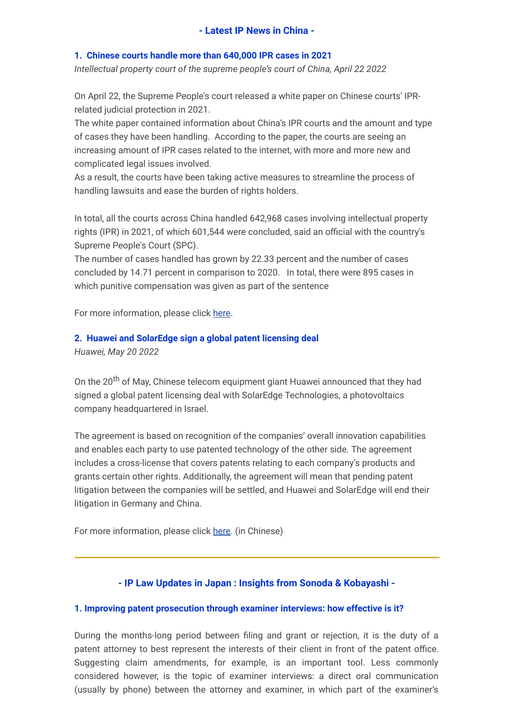### **1. Chinese courts handle more than 640,000 IPR cases in 2021**

*Intellectual property court of the supreme people's court of China, April 22 2022*

On April 22, the Supreme People's court released a white paper on Chinese courts' IPRrelated judicial protection in 2021.

The white paper contained information about China's IPR courts and the amount and type of cases they have been handling. According to the paper, the courts are seeing an increasing amount of IPR cases related to the internet, with more and more new and complicated legal issues involved.

As a result, the courts have been taking active measures to streamline the process of handling lawsuits and ease the burden of rights holders.

In total, all the courts across China handled 642,968 cases involving intellectual property rights (IPR) in 2021, of which 601,544 were concluded, said an official with the country's Supreme People's Court (SPC).

The number of cases handled has grown by 22.33 percent and the number of cases concluded by 14.71 percent in comparison to 2020. In total, there were 895 cases in which punitive compensation was given as part of the sentence

For more information, please click [here.](https://enipc.court.gov.cn/en-us/news/view-1959.html)

### **2. Huawei and SolarEdge sign a global patent licensing deal**

*Huawei, May 20 2022*

On the 20<sup>th</sup> of May, Chinese telecom equipment giant Huawei announced that they had signed a global patent licensing deal with SolarEdge Technologies, a photovoltaics company headquartered in Israel.

The agreement is based on recognition of the companies' overall innovation capabilities and enables each party to use patented technology of the other side. The agreement includes a cross-license that covers patents relating to each company's products and grants certain other rights. Additionally, the agreement will mean that pending patent litigation between the companies will be settled, and Huawei and SolarEdge will end their litigation in Germany and China.

For more information, please click [here.](https://www.huawei.com/cn/news/2022/5/huawei-solaredge-settlelitigation) (in Chinese)

### **- IP Law Updates in Japan : Insights from Sonoda & Kobayashi -**

### **1. Improving patent prosecution through examiner interviews: how effective is it?**

During the months-long period between filing and grant or rejection, it is the duty of a patent attorney to best represent the interests of their client in front of the patent office. Suggesting claim amendments, for example, is an important tool. Less commonly considered however, is the topic of examiner interviews: a direct oral communication (usually by phone) between the attorney and examiner, in which part of the examiner's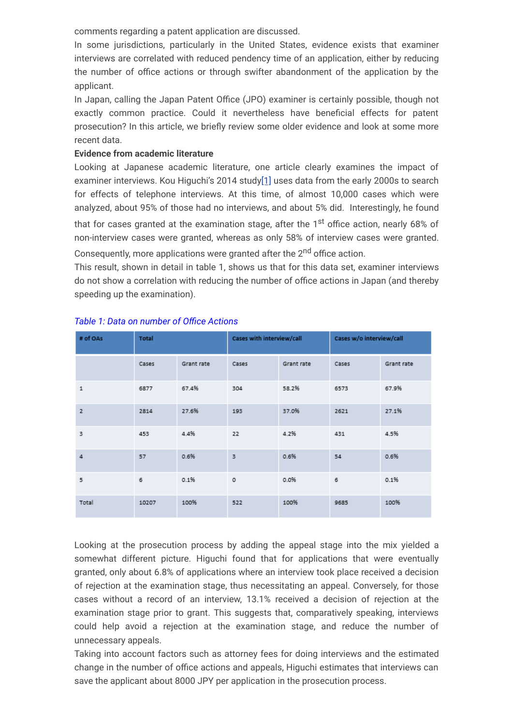comments regarding a patent application are discussed.

In some jurisdictions, particularly in the United States, evidence exists that examiner interviews are correlated with reduced pendency time of an application, either by reducing the number of office actions or through swifter abandonment of the application by the applicant.

In Japan, calling the Japan Patent Office (JPO) examiner is certainly possible, though not exactly common practice. Could it nevertheless have beneficial effects for patent prosecution? In this article, we briefly review some older evidence and look at some more recent data.

### **Evidence from academic literature**

<span id="page-7-0"></span>Looking at Japanese academic literature, one article clearly examines the impact of examiner interviews. Kou Higuchi's 2014 study[\[1\]](#page-8-0) uses data from the early 2000s to search for effects of telephone interviews. At this time, of almost 10,000 cases which were analyzed, about 95% of those had no interviews, and about 5% did. Interestingly, he found that for cases granted at the examination stage, after the 1<sup>st</sup> office action, nearly 68% of non-interview cases were granted, whereas as only 58% of interview cases were granted.

Consequently, more applications were granted after the 2<sup>nd</sup> office action.

This result, shown in detail in table 1, shows us that for this data set, examiner interviews do not show a correlation with reducing the number of office actions in Japan (and thereby speeding up the examination).

| # of OAs     | <b>Total</b> |            | Cases with interview/call |            | Cases w/o interview/call |            |
|--------------|--------------|------------|---------------------------|------------|--------------------------|------------|
|              | Cases        | Grant rate | Cases                     | Grant rate | Cases                    | Grant rate |
| $\mathbf{1}$ | 6877         | 67.4%      | 304                       | 58.2%      | 6573                     | 67.9%      |
| $\mathbf{z}$ | 2814         | 27.6%      | 193                       | 37.0%      | 2621                     | 27.1%      |
| 3            | 453          | 4.4%       | 22                        | 4.2%       | 431                      | 4.5%       |
| 4            | 57           | 0.6%       | 3                         | 0.6%       | 54                       | 0.6%       |
| 5            | 6            | 0.1%       | $\circ$                   | 0.0%       | 6                        | 0.1%       |
| Total        | 10207        | 100%       | 522                       | 100%       | 9685                     | 100%       |

### *Table 1: Data on number of Office Actions*

Looking at the prosecution process by adding the appeal stage into the mix yielded a somewhat different picture. Higuchi found that for applications that were eventually granted, only about 6.8% of applications where an interview took place received a decision of rejection at the examination stage, thus necessitating an appeal. Conversely, for those cases without a record of an interview, 13.1% received a decision of rejection at the examination stage prior to grant. This suggests that, comparatively speaking, interviews could help avoid a rejection at the examination stage, and reduce the number of unnecessary appeals.

Taking into account factors such as attorney fees for doing interviews and the estimated change in the number of office actions and appeals, Higuchi estimates that interviews can save the applicant about 8000 JPY per application in the prosecution process.